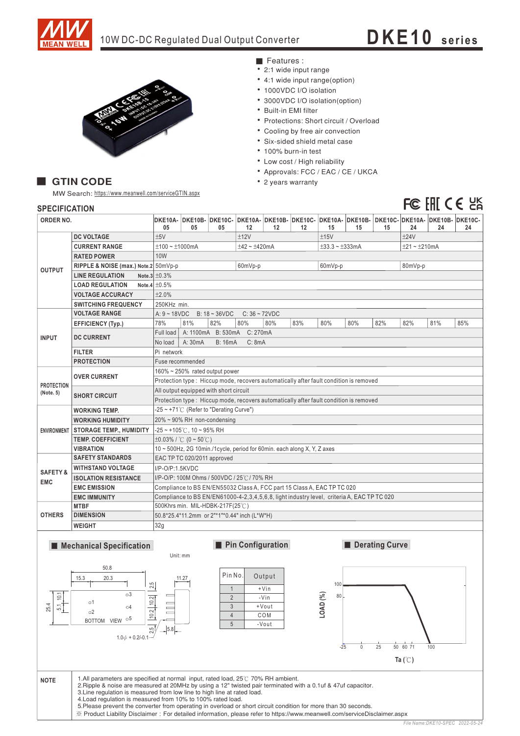

# 10W DC-DC Regulated Dual Output Converter **DKE1 0 <sup>s</sup> <sup>e</sup> ries**



### Features :

- 2:1 wide input range
- 4:1 wide input range(option)
- 1000VDC I/O isolation
- 3000VDC I/O isolation(option)
- Built-in EMI filter
- Protections: Short circuit / Overload
- Cooling by free air convection
- · Six-sided shield metal case
- 100% burn-in test
- Low cost / High reliability
- Approvals: FCC / EAC / CE / UKCA
- 2 years warranty

## **GTIN CODE**

MW Search: https://www.meanwell.com/serviceGTIN.aspx

# FC FAI CE UK

| יוטו ובשם ושם                     |                                      |                                                                                       |                                                                                            |                             |                |     |     |                         |     |     |                |     |                                                                                               |  |  |
|-----------------------------------|--------------------------------------|---------------------------------------------------------------------------------------|--------------------------------------------------------------------------------------------|-----------------------------|----------------|-----|-----|-------------------------|-----|-----|----------------|-----|-----------------------------------------------------------------------------------------------|--|--|
| <b>ORDER NO.</b>                  |                                      | DKE10A-<br>05                                                                         | 05                                                                                         | 05                          | 12             | 12  | 12  | 15                      | 15  | 15  | 24             | 24  | DKE10B- DKE10C- DKE10A- DKE10B- DKE10C- DKE10A- DKE10B- DKE10C- DKE10A- DKE10B- DKE10C-<br>24 |  |  |
| <b>OUTPUT</b>                     | <b>DC VOLTAGE</b>                    | ±5V                                                                                   |                                                                                            |                             | ±12V           |     |     | ±15V                    |     |     | ±24V           |     |                                                                                               |  |  |
|                                   | <b>CURRENT RANGE</b>                 | $±100 - ±1000mA$                                                                      |                                                                                            |                             | $±42 - ±420mA$ |     |     | $\pm 33.3 - \pm 333$ mA |     |     | $±21 - ±210mA$ |     |                                                                                               |  |  |
|                                   | <b>RATED POWER</b>                   | <b>10W</b>                                                                            |                                                                                            |                             |                |     |     |                         |     |     |                |     |                                                                                               |  |  |
|                                   | RIPPLE & NOISE (max.) Note.2 50mVp-p |                                                                                       |                                                                                            |                             | 60mVp-p        |     |     | 60mVp-p                 |     |     | 80mVp-p        |     |                                                                                               |  |  |
|                                   | <b>LINE REGULATION</b>               | Note.3 $\pm 0.3\%$                                                                    |                                                                                            |                             |                |     |     |                         |     |     |                |     |                                                                                               |  |  |
|                                   | <b>LOAD REGULATION</b>               | Note.4 $\pm 0.5\%$                                                                    |                                                                                            |                             |                |     |     |                         |     |     |                |     |                                                                                               |  |  |
|                                   | <b>VOLTAGE ACCURACY</b>              | ±2.0%                                                                                 |                                                                                            |                             |                |     |     |                         |     |     |                |     |                                                                                               |  |  |
|                                   | <b>SWITCHING FREQUENCY</b>           |                                                                                       | 250KHz min.                                                                                |                             |                |     |     |                         |     |     |                |     |                                                                                               |  |  |
| <b>INPUT</b>                      | <b>VOLTAGE RANGE</b>                 |                                                                                       | A: $9 - 18$ VDC<br>$B: 18 - 36 VDC$<br>$C: 36 - 72VDC$                                     |                             |                |     |     |                         |     |     |                |     |                                                                                               |  |  |
|                                   | <b>EFFICIENCY (Typ.)</b>             | 78%                                                                                   | 81%                                                                                        | 82%                         | 80%            | 80% | 83% | 80%                     | 80% | 82% | 82%            | 81% | 85%                                                                                           |  |  |
|                                   | <b>DC CURRENT</b>                    | Full load                                                                             |                                                                                            | A: 1100mA B: 530mA C: 270mA |                |     |     |                         |     |     |                |     |                                                                                               |  |  |
|                                   |                                      | No load                                                                               | A: 30mA                                                                                    | <b>B: 16mA</b>              | C: 8mA         |     |     |                         |     |     |                |     |                                                                                               |  |  |
|                                   | <b>FILTER</b>                        |                                                                                       | Pi network                                                                                 |                             |                |     |     |                         |     |     |                |     |                                                                                               |  |  |
|                                   | <b>PROTECTION</b>                    | Fuse recommended                                                                      |                                                                                            |                             |                |     |     |                         |     |     |                |     |                                                                                               |  |  |
| <b>PROTECTION</b><br>(Note. 5)    | <b>OVER CURRENT</b>                  | 160% ~ 250% rated output power                                                        |                                                                                            |                             |                |     |     |                         |     |     |                |     |                                                                                               |  |  |
|                                   |                                      | Protection type: Hiccup mode, recovers automatically after fault condition is removed |                                                                                            |                             |                |     |     |                         |     |     |                |     |                                                                                               |  |  |
|                                   | <b>SHORT CIRCUIT</b>                 | All output equipped with short circuit                                                |                                                                                            |                             |                |     |     |                         |     |     |                |     |                                                                                               |  |  |
|                                   |                                      | Protection type: Hiccup mode, recovers automatically after fault condition is removed |                                                                                            |                             |                |     |     |                         |     |     |                |     |                                                                                               |  |  |
|                                   | <b>WORKING TEMP.</b>                 |                                                                                       | -25 ~ +71°C (Refer to "Derating Curve")                                                    |                             |                |     |     |                         |     |     |                |     |                                                                                               |  |  |
|                                   | <b>WORKING HUMIDITY</b>              | 20% ~ 90% RH non-condensing                                                           |                                                                                            |                             |                |     |     |                         |     |     |                |     |                                                                                               |  |  |
|                                   | ENVIRONMENT STORAGE TEMP., HUMIDITY  | $-25$ ~ +105°C, 10 ~ 95% RH                                                           |                                                                                            |                             |                |     |     |                         |     |     |                |     |                                                                                               |  |  |
|                                   | <b>TEMP, COEFFICIENT</b>             | $\pm 0.03\%$ / °C (0 ~ 50°C)                                                          |                                                                                            |                             |                |     |     |                         |     |     |                |     |                                                                                               |  |  |
|                                   | <b>VIBRATION</b>                     | 10 ~ 500Hz, 2G 10min./1cycle, period for 60min. each along X, Y, Z axes               |                                                                                            |                             |                |     |     |                         |     |     |                |     |                                                                                               |  |  |
| <b>SAFETY &amp;</b><br><b>EMC</b> | <b>SAFETY STANDARDS</b>              | EAC TP TC 020/2011 approved                                                           |                                                                                            |                             |                |     |     |                         |     |     |                |     |                                                                                               |  |  |
|                                   | <b>WITHSTAND VOLTAGE</b>             | I/P-O/P:1.5KVDC                                                                       |                                                                                            |                             |                |     |     |                         |     |     |                |     |                                                                                               |  |  |
|                                   | <b>ISOLATION RESISTANCE</b>          | I/P-O/P: 100M Ohms / 500VDC / 25°C / 70% RH                                           |                                                                                            |                             |                |     |     |                         |     |     |                |     |                                                                                               |  |  |
|                                   | <b>EMC EMISSION</b>                  |                                                                                       | Compliance to BS EN/EN55032 Class A, FCC part 15 Class A, EAC TP TC 020                    |                             |                |     |     |                         |     |     |                |     |                                                                                               |  |  |
|                                   | <b>EMC IMMUNITY</b>                  |                                                                                       | Compliance to BS EN/EN61000-4-2,3,4,5,6,8, light industry level, criteria A, EAC TP TC 020 |                             |                |     |     |                         |     |     |                |     |                                                                                               |  |  |
| <b>OTHERS</b>                     | <b>MTBF</b>                          |                                                                                       | 500Khrs min. MIL-HDBK-217F(25℃)                                                            |                             |                |     |     |                         |     |     |                |     |                                                                                               |  |  |
|                                   | <b>DIMENSION</b>                     |                                                                                       | 50.8*25.4*11.2mm or 2"*1"*0.44" inch (L*W*H)                                               |                             |                |     |     |                         |     |     |                |     |                                                                                               |  |  |
|                                   | <b>WEIGHT</b>                        | 32g                                                                                   |                                                                                            |                             |                |     |     |                         |     |     |                |     |                                                                                               |  |  |
|                                   |                                      |                                                                                       |                                                                                            |                             |                |     |     |                         |     |     |                |     |                                                                                               |  |  |

## **Mechanical Specification**











**NOTE** 1.All parameters are specified at normal input, rated load, 25°C 70% RH ambient.<br>2. Ripple & noise are measured at 20MHz by using a 12" twisted pair terminated with a 0.1uf & 47uf capacitor. 3. Line regulation is measured from low line to high line at rated load. 4. Load regulation is measured from 10% to 100% rated load. 5. Please prevent the converter from operating in overload or short circuit condition for more than 30 seconds. ※: https://www.meanwell.com/serviceDisclaimer.aspx